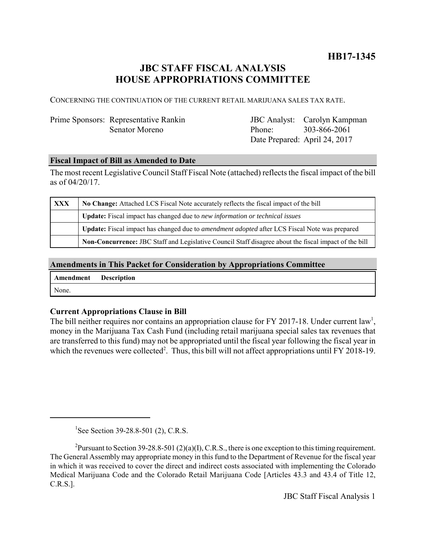**HB17-1345**

# **JBC STAFF FISCAL ANALYSIS HOUSE APPROPRIATIONS COMMITTEE**

CONCERNING THE CONTINUATION OF THE CURRENT RETAIL MARIJUANA SALES TAX RATE.

## Prime Sponsors: Representative Rankin Senator Moreno

JBC Analyst: Carolyn Kampman Phone: Date Prepared: April 24, 2017 303-866-2061

#### **Fiscal Impact of Bill as Amended to Date**

The most recent Legislative Council Staff Fiscal Note (attached) reflects the fiscal impact of the bill as of 04/20/17.

| XXX | No Change: Attached LCS Fiscal Note accurately reflects the fiscal impact of the bill                       |  |
|-----|-------------------------------------------------------------------------------------------------------------|--|
|     | <b>Update:</b> Fiscal impact has changed due to new information or technical issues                         |  |
|     | <b>Update:</b> Fiscal impact has changed due to <i>amendment adopted</i> after LCS Fiscal Note was prepared |  |
|     | Non-Concurrence: JBC Staff and Legislative Council Staff disagree about the fiscal impact of the bill       |  |

#### **Amendments in This Packet for Consideration by Appropriations Committee**

| Amendment Description |  |
|-----------------------|--|
| None.                 |  |

### **Current Appropriations Clause in Bill**

The bill neither requires nor contains an appropriation clause for FY 2017-18. Under current law<sup>1</sup>, money in the Marijuana Tax Cash Fund (including retail marijuana special sales tax revenues that are transferred to this fund) may not be appropriated until the fiscal year following the fiscal year in which the revenues were collected<sup>2</sup>. Thus, this bill will not affect appropriations until FY 2018-19.

<sup>&</sup>lt;sup>1</sup>See Section 39-28.8-501 (2), C.R.S.

<sup>&</sup>lt;sup>2</sup>Pursuant to Section 39-28.8-501 (2)(a)(I), C.R.S., there is one exception to this timing requirement. The General Assembly may appropriate money in this fund to the Department of Revenue for the fiscal year in which it was received to cover the direct and indirect costs associated with implementing the Colorado Medical Marijuana Code and the Colorado Retail Marijuana Code [Articles 43.3 and 43.4 of Title 12, C.R.S.].